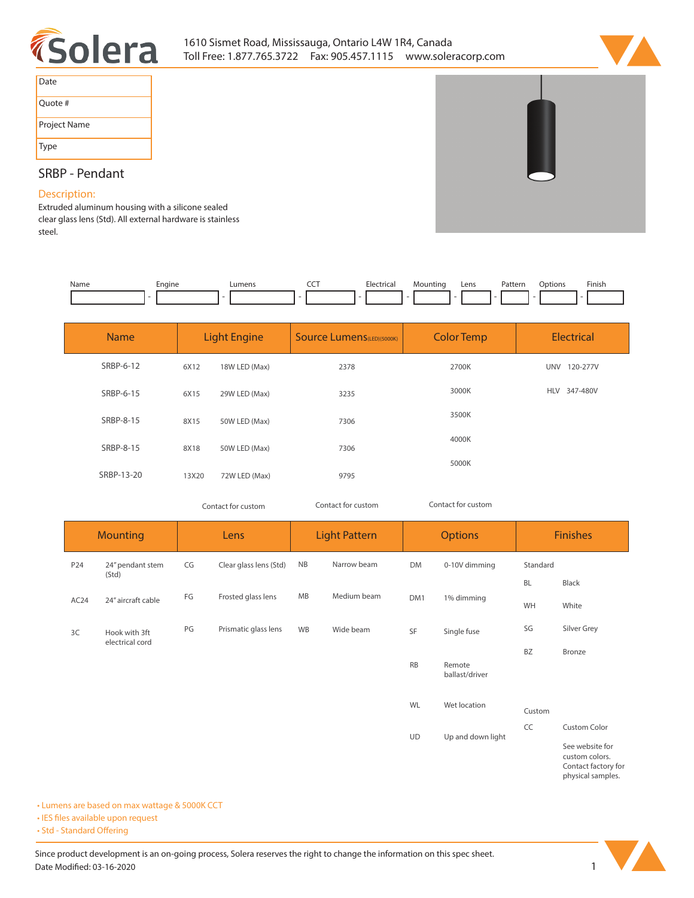



| Date         |
|--------------|
| Quote #      |
| Project Name |
| <b>Type</b>  |

# **SRBP - Pendant**

## **Description:**

**Extruded aluminum housing with a silicone sealed clear glass lens (Std). All external hardware is stainless steel.** 

| Name | cngine<br>$\overline{\phantom{a}}$ | --- | . | Lens | Patterr<br>. | ntinn | Finish<br>the contract of the contract of the |
|------|------------------------------------|-----|---|------|--------------|-------|-----------------------------------------------|
|      |                                    |     |   |      |              |       |                                               |

| <b>Name</b> | <b>Light Engine</b> |               | <b>Source Lumens</b> (LED)(5000K) | <b>Color Temp</b> | <b>Electrical</b>      |  |
|-------------|---------------------|---------------|-----------------------------------|-------------------|------------------------|--|
| SRBP-6-12   | 6X12                | 18W LED (Max) | 2378                              | 2700K             | <b>UNV</b><br>120-277V |  |
| SRBP-6-15   | 6X15                | 29W LED (Max) | 3235                              | 3000K             | 347-480V<br>HLV        |  |
| SRBP-8-15   | 8X15                | 50W LED (Max) | 7306                              | 3500K             |                        |  |
| SRBP-8-15   | 8X18                | 50W LED (Max) | 7306                              | 4000K             |                        |  |
| SRBP-13-20  | 13X20               | 72W LED (Max) | 9795                              | 5000K             |                        |  |

*Contact for custom Contact for custom*

| Contact for custom |  |  |
|--------------------|--|--|
|                    |  |  |

| Mounting         |                           | Lens |                        | <b>Light Pattern</b> |             | <b>Options</b>                                                                |                          | <b>Finishes</b> |                     |
|------------------|---------------------------|------|------------------------|----------------------|-------------|-------------------------------------------------------------------------------|--------------------------|-----------------|---------------------|
| P24              | 24" pendant stem<br>(Std) | CG   | Clear glass lens (Std) | <b>NB</b>            | Narrow beam | <b>DM</b>                                                                     | 0-10V dimming            | Standard        |                     |
|                  |                           |      |                        |                      |             |                                                                               |                          | <b>BL</b>       | Black               |
| AC <sub>24</sub> | 24" aircraft cable        | FG   | Frosted glass lens     | MB                   | Medium beam | DM1                                                                           | 1% dimming               | WH              | White               |
| 3C               | Hook with 3ft             | PG   | Prismatic glass lens   | WB                   | Wide beam   | SF                                                                            | Single fuse              | SG              | Silver Grey         |
|                  | electrical cord           |      |                        |                      |             |                                                                               |                          | <b>BZ</b>       | Bronze              |
|                  |                           |      |                        |                      |             | <b>RB</b>                                                                     | Remote<br>ballast/driver |                 |                     |
|                  |                           |      |                        |                      |             | WL                                                                            | Wet location             | Custom          |                     |
|                  |                           |      |                        |                      |             | UD                                                                            | Up and down light        | CC              | <b>Custom Color</b> |
|                  |                           |      |                        |                      |             | See website for<br>custom colors.<br>Contact factory for<br>physical samples. |                          |                 |                     |

**• Lumens are based on max wattage & 5000K CCT**

**• IES files available upon request** 

• Std - Standard Offering